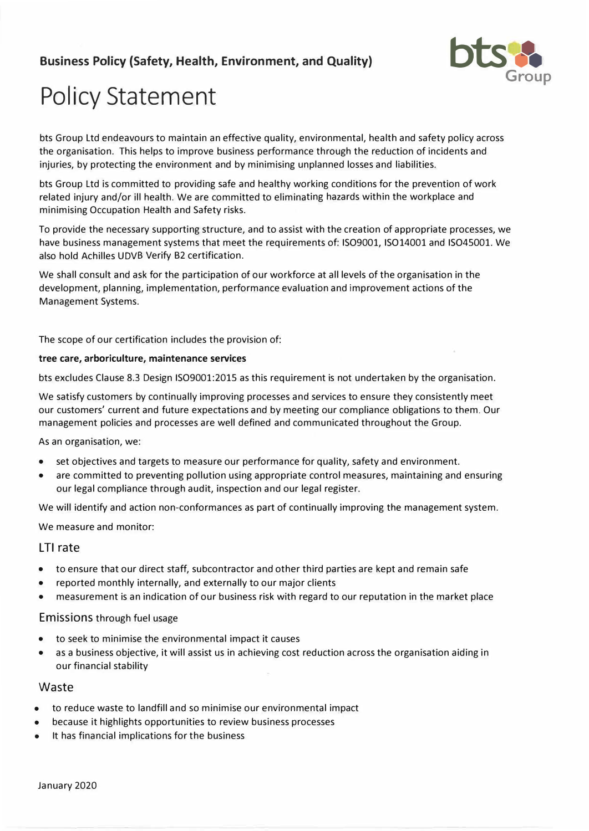## **Business Policy (Safety, Health, Environment, and Quality)**



# **Policy Statement**

bts Group Ltd endeavours to maintain an effective quality, environmental, health and safety policy across the organisation. This helps to improve business performance through the reduction of incidents and injuries, by protecting the environment and by minimising unplanned losses and liabilities.

bts Group Ltd is committed to providing safe and healthy working conditions for the prevention of work related injury and/or ill health. We are committed to eliminating hazards within the workplace and minimising Occupation Health and Safety risks.

To provide the necessary supporting structure, and to assist with the creation of appropriate processes, we have business management systems that meet the requirements of: ISO9001, ISO14001 and ISO45001. We also hold Achilles UDVB Verify 82 certification.

We shall consult and ask for the participation of our workforce at all levels of the organisation in the development, planning, implementation, performance evaluation and improvement actions of the Management Systems.

The scope of our certification includes the provision of:

#### **tree care, arboriculture, maintenance services**

bts excludes Clause 8.3 Design ISO9001:2015 as this requirement is not undertaken by the organisation.

We satisfy customers by continually improving processes and services to ensure they consistently meet our customers' current and future expectations and by meeting our compliance obligations to them. Our management policies and processes are well defined and communicated throughout the Group.

As an organisation, we:

- •set objectives and targets to measure our performance for quality, safety and environment.
- • are committed to preventing pollution using appropriate control measures, maintaining and ensuring our legal compliance through audit, inspection and our legal register.

We will identify and action non-conformances as part of continually improving the management system.

We measure and monitor:

#### LTI rate

- •to ensure that our direct staff, subcontractor and other third parties are kept and remain safe
- •reported monthly internally, and externally to our major clients
- •measurement is an indication of our business risk with regard to our reputation in the market place

#### Emissions through fuel usage

- •to seek to minimise the environmental impact it causes
- • as a business objective, it will assist us in achieving cost reduction across the organisation aiding in our financial stability

#### Waste

- •to reduce waste to landfill and so minimise our environmental impact
- •because it highlights opportunities to review business processes
- •It has financial implications for the business